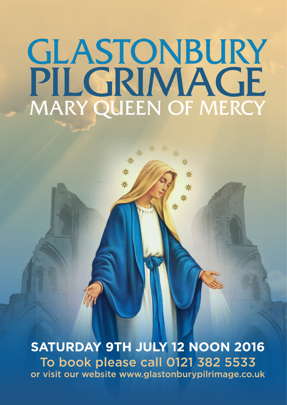# GLASTONBURY PILGRIMAGE MARY QUEEN OF MERCY

SATURDAY 9TH JULY 12 NOON 2016 To book please call 0121 382 5533 or visit our website www.glastonburypilrimage.co.uk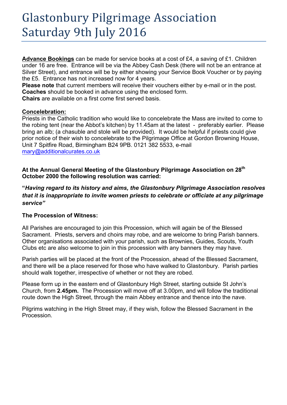# Glastonbury Pilgrimage Association Saturday 9th July 2016

**Advance Bookings** can be made for service books at a cost of £4, a saving of £1. Children under 16 are free. Entrance will be via the Abbey Cash Desk (there will not be an entrance at Silver Street), and entrance will be by either showing your Service Book Voucher or by paying the £5. Entrance has not increased now for 4 years.

**Please note** that current members will receive their vouchers either by e-mail or in the post. **Coaches** should be booked in advance using the enclosed form.

**Chairs** are available on a first come first served basis.

#### **Concelebration:**

Priests in the Catholic tradition who would like to concelebrate the Mass are invited to come to the robing tent (near the Abbot's kitchen) by 11.45am at the latest - preferably earlier. Please bring an alb; (a chasuble and stole will be provided). It would be helpful if priests could give prior notice of their wish to concelebrate to the Pilgrimage Office at Gordon Browning House, Unit 7 Spitfire Road, Birmingham B24 9PB. 0121 382 5533, e-mail mary@additionalcurates.co.uk

**At the Annual General Meeting of the Glastonbury Pilgrimage Association on 28th October 2000 the following resolution was carried:**

**"***Having regard to its history and aims, the Glastonbury Pilgrimage Association resolves that it is inappropriate to invite women priests to celebrate or officiate at any pilgrimage service"*

## **The Procession of Witness:**

All Parishes are encouraged to join this Procession, which will again be of the Blessed Sacrament. Priests, servers and choirs may robe, and are welcome to bring Parish banners. Other organisations associated with your parish, such as Brownies, Guides, Scouts, Youth Clubs etc are also welcome to join in this procession with any banners they may have.

Parish parties will be placed at the front of the Procession, ahead of the Blessed Sacrament, and there will be a place reserved for those who have walked to Glastonbury. Parish parties should walk together, irrespective of whether or not they are robed.

Please form up in the eastern end of Glastonbury High Street, starting outside St John's Church, from **2.45pm.** The Procession will move off at 3.00pm, and will follow the traditional route down the High Street, through the main Abbey entrance and thence into the nave.

Pilgrims watching in the High Street may, if they wish, follow the Blessed Sacrament in the Procession.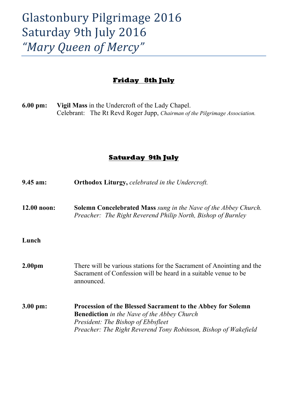# Glastonbury Pilgrimage 2016 Saturday 9th July 2016 *"Mary Queen of Mercy"*

## **Friday 8th July**

**6.00 pm: Vigil Mass** in the Undercroft of the Lady Chapel. Celebrant: The Rt Revd Roger Jupp, *Chairman of the Pilgrimage Association.*

## **Saturday 9th July**

| $9.45$ am:          | <b>Orthodox Liturgy, celebrated in the Undercroft.</b>                                                                                                                                                                                   |
|---------------------|------------------------------------------------------------------------------------------------------------------------------------------------------------------------------------------------------------------------------------------|
| 12.00 noon:         | <b>Solemn Concelebrated Mass</b> sung in the Nave of the Abbey Church.<br>Preacher: The Right Reverend Philip North, Bishop of Burnley                                                                                                   |
| Lunch               |                                                                                                                                                                                                                                          |
| 2.00 <sub>pm</sub>  | There will be various stations for the Sacrament of Anointing and the<br>Sacrament of Confession will be heard in a suitable venue to be<br>announced.                                                                                   |
| $3.00 \text{ pm}$ : | <b>Procession of the Blessed Sacrament to the Abbey for Solemn</b><br><b>Benediction</b> in the Nave of the Abbey Church<br><i>President: The Bishop of Ebbsfleet</i><br>Preacher: The Right Reverend Tony Robinson, Bishop of Wakefield |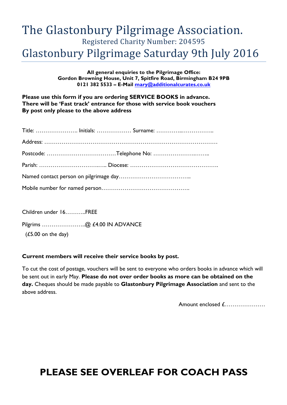## The Glastonbury Pilgrimage Association. Registered Charity Number: 204595 Glastonbury Pilgrimage Saturday 9th July 2016

**All general enquiries to the Pilgrimage Office: Gordon Browning House, Unit 7, Spitfire Road, Birmingham B24 9PB 0121 382 5533 – E-Mail mary@additionalcurates.co.uk**

**Please use this form if you are ordering SERVICE BOOKS in advance. There will be 'Fast track' entrance for those with service book vouchers By post only please to the above address**

Children under 16………..FREE

Pilgrims …………………..@ £4.00 IN ADVANCE

(£5.00 on the day)

#### **Current members will receive their service books by post.**

To cut the cost of postage, vouchers will be sent to everyone who orders books in advance which will be sent out in early May. **Please do not over order books as more can be obtained on the day.** Cheques should be made payable to **Glastonbury Pilgrimage Association** and sent to the above address.

Amount enclosed £…………………

## **PLEASE SEE OVERLEAF FOR COACH PASS**